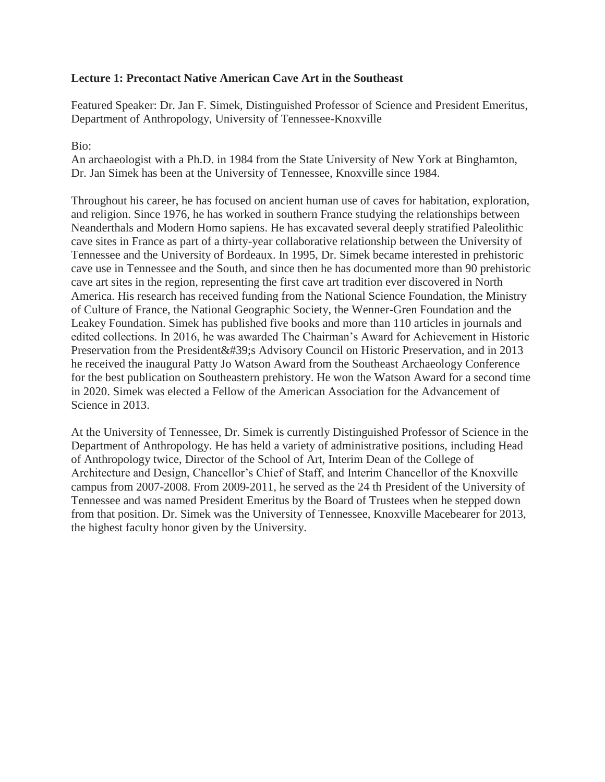#### **Lecture 1: Precontact Native American Cave Art in the Southeast**

Featured Speaker: Dr. Jan F. Simek, Distinguished Professor of Science and President Emeritus, Department of Anthropology, University of Tennessee-Knoxville

#### Bio:

An archaeologist with a Ph.D. in 1984 from the State University of New York at Binghamton, Dr. Jan Simek has been at the University of Tennessee, Knoxville since 1984.

Throughout his career, he has focused on ancient human use of caves for habitation, exploration, and religion. Since 1976, he has worked in southern France studying the relationships between Neanderthals and Modern Homo sapiens. He has excavated several deeply stratified Paleolithic cave sites in France as part of a thirty-year collaborative relationship between the University of Tennessee and the University of Bordeaux. In 1995, Dr. Simek became interested in prehistoric cave use in Tennessee and the South, and since then he has documented more than 90 prehistoric cave art sites in the region, representing the first cave art tradition ever discovered in North America. His research has received funding from the National Science Foundation, the Ministry of Culture of France, the National Geographic Society, the Wenner-Gren Foundation and the Leakey Foundation. Simek has published five books and more than 110 articles in journals and edited collections. In 2016, he was awarded The Chairman's Award for Achievement in Historic Preservation from the President' Advisory Council on Historic Preservation, and in 2013 he received the inaugural Patty Jo Watson Award from the Southeast Archaeology Conference for the best publication on Southeastern prehistory. He won the Watson Award for a second time in 2020. Simek was elected a Fellow of the American Association for the Advancement of Science in 2013.

At the University of Tennessee, Dr. Simek is currently Distinguished Professor of Science in the Department of Anthropology. He has held a variety of administrative positions, including Head of Anthropology twice, Director of the School of Art, Interim Dean of the College of Architecture and Design, Chancellor's Chief of Staff, and Interim Chancellor of the Knoxville campus from 2007-2008. From 2009-2011, he served as the 24 th President of the University of Tennessee and was named President Emeritus by the Board of Trustees when he stepped down from that position. Dr. Simek was the University of Tennessee, Knoxville Macebearer for 2013, the highest faculty honor given by the University.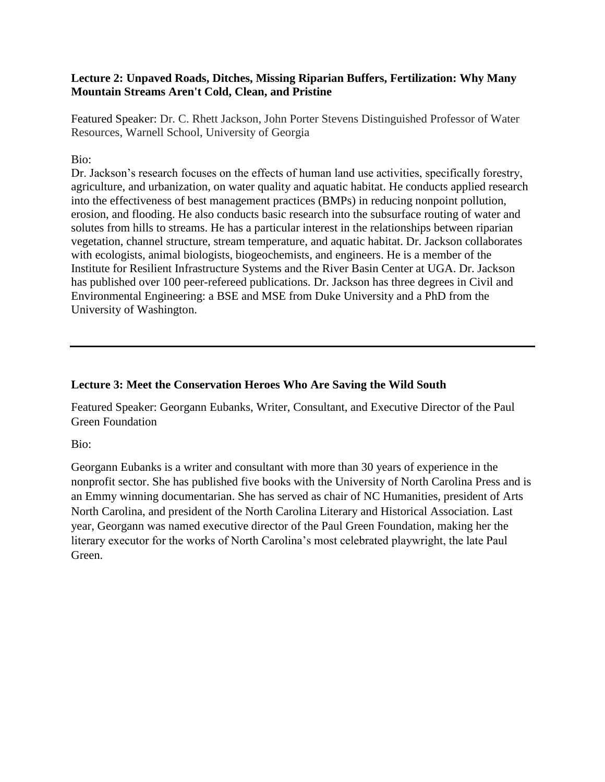#### **Lecture 2: Unpaved Roads, Ditches, Missing Riparian Buffers, Fertilization: Why Many Mountain Streams Aren't Cold, Clean, and Pristine**

Featured Speaker: Dr. C. Rhett Jackson, John Porter Stevens Distinguished Professor of Water Resources, Warnell School, University of Georgia

#### Bio:

Dr. Jackson's research focuses on the effects of human land use activities, specifically forestry, agriculture, and urbanization, on water quality and aquatic habitat. He conducts applied research into the effectiveness of best management practices (BMPs) in reducing nonpoint pollution, erosion, and flooding. He also conducts basic research into the subsurface routing of water and solutes from hills to streams. He has a particular interest in the relationships between riparian vegetation, channel structure, stream temperature, and aquatic habitat. Dr. Jackson collaborates with ecologists, animal biologists, biogeochemists, and engineers. He is a member of the Institute for Resilient Infrastructure Systems and the River Basin Center at UGA. Dr. Jackson has published over 100 peer-refereed publications. Dr. Jackson has three degrees in Civil and Environmental Engineering: a BSE and MSE from Duke University and a PhD from the University of Washington.

## **Lecture 3: Meet the Conservation Heroes Who Are Saving the Wild South**

Featured Speaker: Georgann Eubanks, Writer, Consultant, and Executive Director of the Paul Green Foundation

Bio:

Georgann Eubanks is a writer and consultant with more than 30 years of experience in the nonprofit sector. She has published five books with the University of North Carolina Press and is an Emmy winning documentarian. She has served as chair of NC Humanities, president of Arts North Carolina, and president of the North Carolina Literary and Historical Association. Last year, Georgann was named executive director of the Paul Green Foundation, making her the literary executor for the works of North Carolina's most celebrated playwright, the late Paul Green.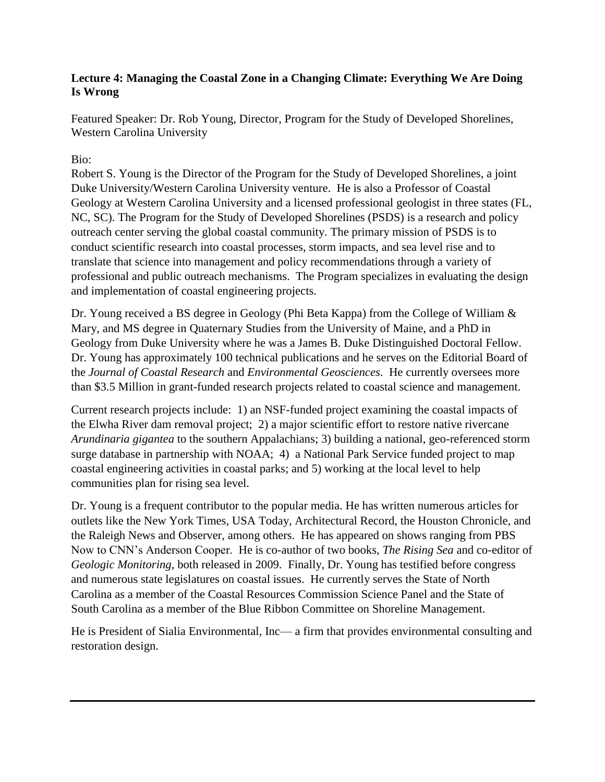# **Lecture 4: Managing the Coastal Zone in a Changing Climate: Everything We Are Doing Is Wrong**

Featured Speaker: Dr. Rob Young, Director, Program for the Study of Developed Shorelines, Western Carolina University

# Bio:

Robert S. Young is the Director of the Program for the Study of Developed Shorelines, a joint Duke University/Western Carolina University venture. He is also a Professor of Coastal Geology at Western Carolina University and a licensed professional geologist in three states (FL, NC, SC). The Program for the Study of Developed Shorelines (PSDS) is a research and policy outreach center serving the global coastal community. The primary mission of PSDS is to conduct scientific research into coastal processes, storm impacts, and sea level rise and to translate that science into management and policy recommendations through a variety of professional and public outreach mechanisms. The Program specializes in evaluating the design and implementation of coastal engineering projects.

Dr. Young received a BS degree in Geology (Phi Beta Kappa) from the College of William & Mary, and MS degree in Quaternary Studies from the University of Maine, and a PhD in Geology from Duke University where he was a James B. Duke Distinguished Doctoral Fellow. Dr. Young has approximately 100 technical publications and he serves on the Editorial Board of the *Journal of Coastal Research* and *Environmental Geosciences*. He currently oversees more than \$3.5 Million in grant-funded research projects related to coastal science and management.

Current research projects include: 1) an NSF-funded project examining the coastal impacts of the Elwha River dam removal project; 2) a major scientific effort to restore native rivercane *Arundinaria gigantea* to the southern Appalachians; 3) building a national, geo-referenced storm surge database in partnership with NOAA; 4) a National Park Service funded project to map coastal engineering activities in coastal parks; and 5) working at the local level to help communities plan for rising sea level.

Dr. Young is a frequent contributor to the popular media. He has written numerous articles for outlets like the New York Times, USA Today, Architectural Record, the Houston Chronicle, and the Raleigh News and Observer, among others. He has appeared on shows ranging from PBS Now to CNN's Anderson Cooper. He is co-author of two books, *The Rising Sea* and co-editor of *Geologic Monitoring*, both released in 2009. Finally, Dr. Young has testified before congress and numerous state legislatures on coastal issues. He currently serves the State of North Carolina as a member of the Coastal Resources Commission Science Panel and the State of South Carolina as a member of the Blue Ribbon Committee on Shoreline Management.

He is President of Sialia Environmental, Inc— a firm that provides environmental consulting and restoration design.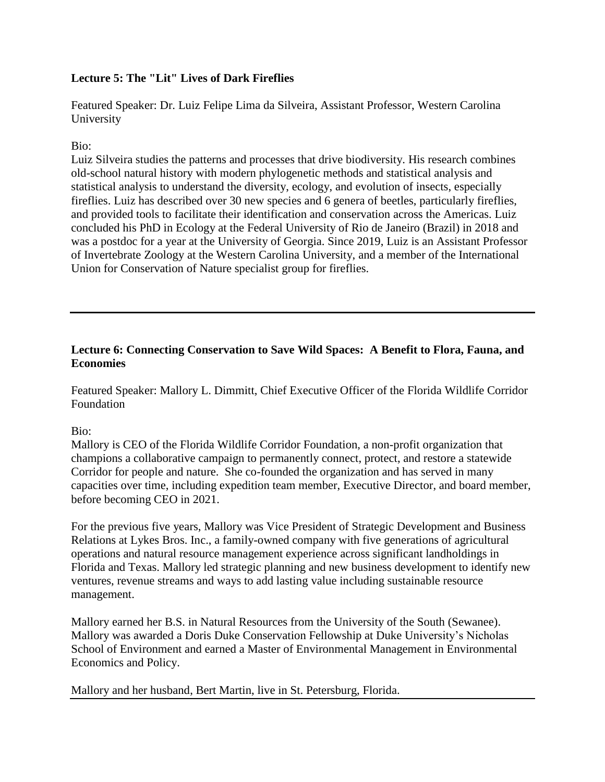# **Lecture 5: The "Lit" Lives of Dark Fireflies**

Featured Speaker: Dr. Luiz Felipe Lima da Silveira, Assistant Professor, Western Carolina University

# Bio:

Luiz Silveira studies the patterns and processes that drive biodiversity. His research combines old-school natural history with modern phylogenetic methods and statistical analysis and statistical analysis to understand the diversity, ecology, and evolution of insects, especially fireflies. Luiz has described over 30 new species and 6 genera of beetles, particularly fireflies, and provided tools to facilitate their identification and conservation across the Americas. Luiz concluded his PhD in Ecology at the Federal University of Rio de Janeiro (Brazil) in 2018 and was a postdoc for a year at the University of Georgia. Since 2019, Luiz is an Assistant Professor of Invertebrate Zoology at the Western Carolina University, and a member of the International Union for Conservation of Nature specialist group for fireflies.

# **Lecture 6: Connecting Conservation to Save Wild Spaces: A Benefit to Flora, Fauna, and Economies**

Featured Speaker: Mallory L. Dimmitt, Chief Executive Officer of the Florida Wildlife Corridor Foundation

## Bio:

Mallory is CEO of the Florida Wildlife Corridor Foundation, a non-profit organization that champions a collaborative campaign to permanently connect, protect, and restore a statewide Corridor for people and nature. She co-founded the organization and has served in many capacities over time, including expedition team member, Executive Director, and board member, before becoming CEO in 2021.

For the previous five years, Mallory was Vice President of Strategic Development and Business Relations at Lykes Bros. Inc., a family-owned company with five generations of agricultural operations and natural resource management experience across significant landholdings in Florida and Texas. Mallory led strategic planning and new business development to identify new ventures, revenue streams and ways to add lasting value including sustainable resource management.

Mallory earned her B.S. in Natural Resources from the University of the South (Sewanee). Mallory was awarded a Doris Duke Conservation Fellowship at Duke University's Nicholas School of Environment and earned a Master of Environmental Management in Environmental Economics and Policy.

Mallory and her husband, Bert Martin, live in St. Petersburg, Florida.